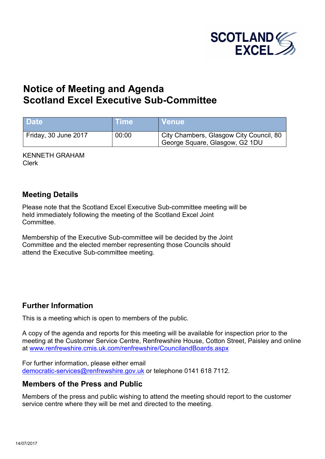

# **Notice of Meeting and Agenda Scotland Excel Executive Sub-Committee**

| <b>Date</b>          | <b>Time</b> | ⊺Venue                                                                    |
|----------------------|-------------|---------------------------------------------------------------------------|
| Friday, 30 June 2017 | 00:00       | City Chambers, Glasgow City Council, 80<br>George Square, Glasgow, G2 1DU |

KENNETH GRAHAM Clerk

### **Meeting Details**

Please note that the Scotland Excel Executive Sub-committee meeting will be held immediately following the meeting of the Scotland Excel Joint **Committee.** 

Membership of the Executive Sub-committee will be decided by the Joint Committee and the elected member representing those Councils should attend the Executive Sub-committee meeting.

## **Further Information**

This is a meeting which is open to members of the public.

A copy of the agenda and reports for this meeting will be available for inspection prior to the meeting at the Customer Service Centre, Renfrewshire House, Cotton Street, Paisley and online at [www.renfrewshire.cmis.uk.com/renfrewshire/CouncilandBoards.aspx](http://www.renfrewshire.cmis.uk.com/renfrewshire/CouncilandBoards.aspx)

For further information, please either email [democratic-services@renfrewshire.gov.uk](mailto:democratic-services@renfrewshire.gov.uk) or telephone 0141 618 7112.

#### **Members of the Press and Public**

Members of the press and public wishing to attend the meeting should report to the customer service centre where they will be met and directed to the meeting.